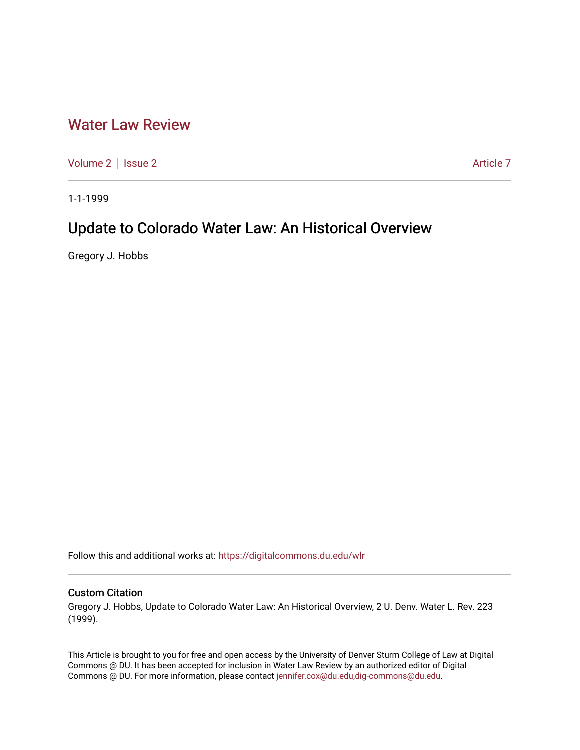# [Water Law Review](https://digitalcommons.du.edu/wlr)

[Volume 2](https://digitalcommons.du.edu/wlr/vol2) | [Issue 2](https://digitalcommons.du.edu/wlr/vol2/iss2) Article 7

1-1-1999

# Update to Colorado Water Law: An Historical Overview

Gregory J. Hobbs

Follow this and additional works at: [https://digitalcommons.du.edu/wlr](https://digitalcommons.du.edu/wlr?utm_source=digitalcommons.du.edu%2Fwlr%2Fvol2%2Fiss2%2F7&utm_medium=PDF&utm_campaign=PDFCoverPages) 

## Custom Citation

Gregory J. Hobbs, Update to Colorado Water Law: An Historical Overview, 2 U. Denv. Water L. Rev. 223 (1999).

This Article is brought to you for free and open access by the University of Denver Sturm College of Law at Digital Commons @ DU. It has been accepted for inclusion in Water Law Review by an authorized editor of Digital Commons @ DU. For more information, please contact [jennifer.cox@du.edu,dig-commons@du.edu.](mailto:jennifer.cox@du.edu,dig-commons@du.edu)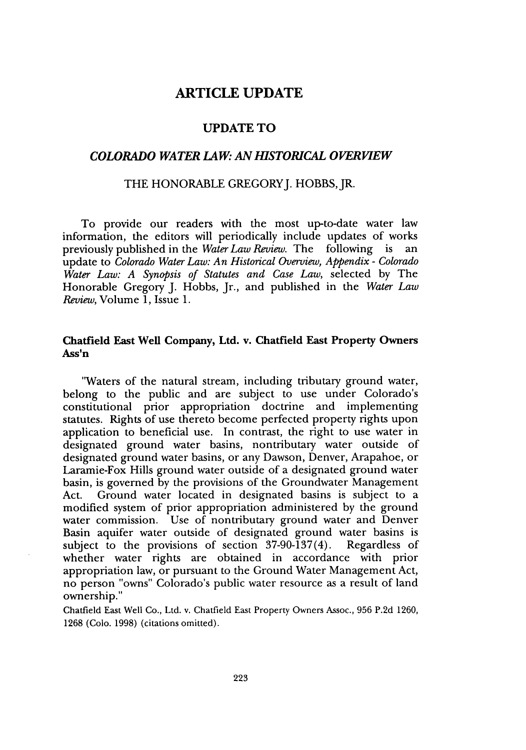## **ARTICLE UPDATE**

### **UPDATE TO**

#### *COLORADO WATER LAW. AN IHSTORICAL OVERVIEW*

#### THE HONORABLE GREGORY J. HOBBS, JR.

To provide our readers with the most up-to-date water law information, the editors will periodically include updates of works previously published in the *Water Law Review.* The following is an update to *Colorado Water Law: An Historical Overview, Appendix* - *Colorado Water Law: A Synopsis of Statutes and Case Law,* selected by The Honorable Gregory J. Hobbs, Jr., and published in the *Water Law Review,* Volume 1, Issue 1.

### **Chatfield East Well Company, Ltd. v. Chatfield East Property Owners Ass'n**

"Waters of the natural stream, including tributary ground water, belong to the public and are subject to use under Colorado's constitutional prior appropriation doctrine and implementing statutes. Rights of use thereto become perfected property rights upon application to beneficial use. In contrast, the right to use water in designated ground water basins, nontributary water outside of designated ground water basins, or any Dawson, Denver, Arapahoe, or Laramie-Fox Hills ground water outside of a designated ground water basin, is governed by the provisions of the Groundwater Management Act. Ground water located in designated basins is subject to a modified system of prior appropriation administered by the ground water commission. Use of nontributary ground water and Denver Basin aquifer water outside of designated ground water basins is subject to the provisions of section 37-90-137(4). Regardless of whether water rights are obtained in accordance with prior appropriation law, or pursuant to the Ground Water Management Act, no person "owns" Colorado's public water resource as a result of land ownership."

Chatfield East Well Co., Ltd. v. Chatfield East Property Owners Assoc., 956 P.2d 1260, 1268 (Colo. 1998) (citations omitted).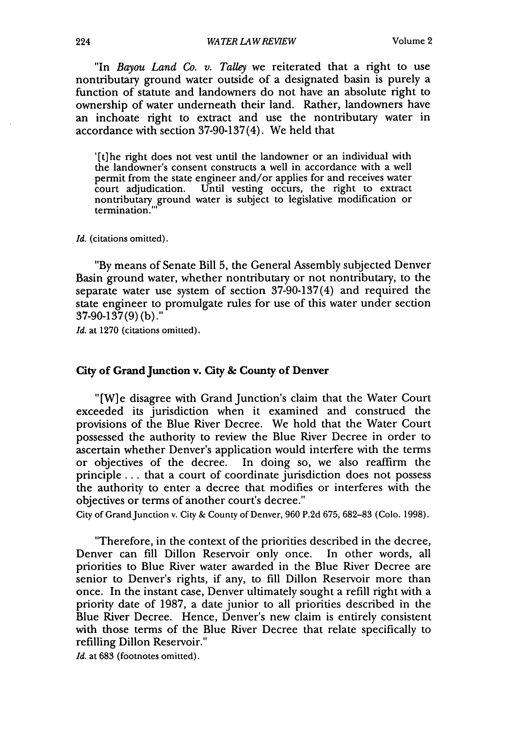"In *Bayou Land Co. v. Talley* we reiterated that a right to use nontributary ground water outside of a designated basin is purely a function of statute and landowners do not have an absolute right to ownership of water underneath their land. Rather, landowners have an inchoate right to extract and use the nontributary water in accordance with section 37-90-137(4). We held that

'[t]he right does not vest until the landowner or an individual with the landowner's consent constructs a well in accordance with a well permit from the state engineer and/or applies for and receives water court adjudication. Until vesting occurs, the right to extract nontributary ground water is subject to legislative modification or termination.'

*Id.* (citations omitted).

"By means of Senate Bill 5, the General Assembly subjected Denver Basin ground water, whether nontributary or not nontributary, to the separate water use system of section 37-90-137(4) and required the state engineer to promulgate rules for use of this water under section 37-90-137 (9) **(b)."**

Id. at 1270 (citations omitted).

#### City of Grand Junction **v. City & County of Denver**

"[W] e disagree with Grand Junction's claim that the Water Court exceeded its jurisdiction when it examined and construed the provisions of the Blue River Decree. We hold that the Water Court possessed the authority to review the Blue River Decree in order to ascertain whether Denver's application would interfere with the terms or objectives of the decree. In doing so, we also reaffirm the principle.., that a court of coordinate jurisdiction does not possess the authority to enter a decree that modifies or interferes with the objectives or terms of another court's decree."

City of Grand Junction v. City & County of Denver, 960 P.2d 675, 682-83 (Colo. 1998).

"Therefore, in the context of the priorities described in the decree, Denver can fill Dillon Reservoir only once. In other words, all priorities to Blue River water awarded in the Blue River Decree are senior to Denver's rights, if any, to fill Dillon Reservoir more than once. In the instant case, Denver ultimately sought a refill right with a priority date of 1987, a date junior to all priorities described in the Blue River Decree. Hence, Denver's new claim is entirely consistent with those terms of the Blue River Decree that relate specifically to refilling Dillon Reservoir."

*Id.* at 683 (footnotes omitted).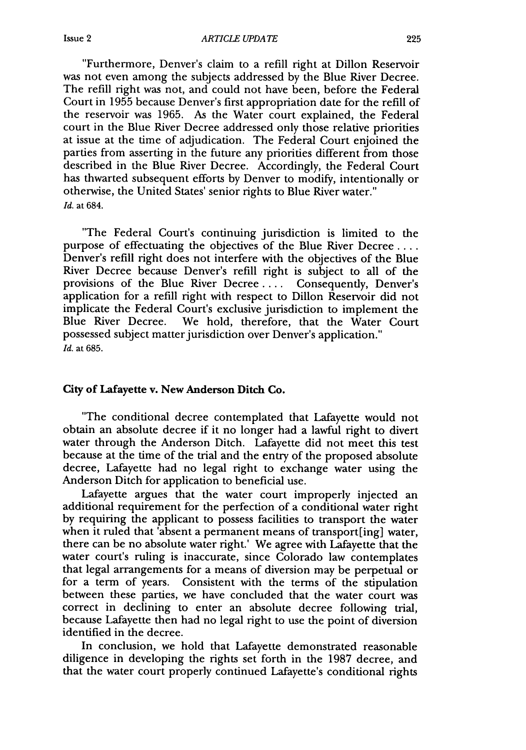"Furthermore, Denver's claim to a refill right at Dillon Reservoir was not even among the subjects addressed by the Blue River Decree. The refill right was not, and could not have been, before the Federal Court in 1955 because Denver's first appropriation date for the refill of the reservoir was 1965. As the Water court explained, the Federal court in the Blue River Decree addressed only those relative priorities at issue at the time of adjudication. The Federal Court enjoined the parties from asserting in the future any priorities different from those described in the Blue River Decree. Accordingly, the Federal Court has thwarted subsequent efforts by Denver to modify, intentionally or otherwise, the United States' senior rights to Blue River water." Id. at 684.

"The Federal Court's continuing jurisdiction is limited to the purpose of effectuating the objectives of the Blue River Decree .... Denver's refill right does not interfere with the objectives of the Blue River Decree because Denver's refill right is subject to all of the provisions of the Blue River Decree .... Consequently, Denver's application for a refill right with respect to Dillon Reservoir did not implicate the Federal Court's exclusive jurisdiction to implement the Blue River Decree. We hold, therefore, that the Water Court possessed subject matter jurisdiction over Denver's application." *Id.* at 685.

#### **City of** Lafayette v. New **Anderson Ditch Co.**

"The conditional decree contemplated that Lafayette would not obtain an absolute decree if it no longer had a lawful right to divert water through the Anderson Ditch. Lafayette did not meet this test because at the time of the trial and the entry of the proposed absolute decree, Lafayette had no legal right to exchange water using the Anderson Ditch for application to beneficial use.

Lafayette argues that the water court improperly injected an additional requirement for the perfection of a conditional water right by requiring the applicant to possess facilities to transport the water when it ruled that 'absent a permanent means of transport[ing] water, there can be no absolute water right.' We agree with Lafayette that the water court's ruling is inaccurate, since Colorado law contemplates that legal arrangements for a means of diversion may be perpetual or for a term of years. Consistent with the terms of the stipulation between these parties, we have concluded that the water court was correct in declining to enter an absolute decree following trial, because Lafayette then had no legal right to use the point of diversion identified in the decree.

In conclusion, we hold that Lafayette demonstrated reasonable diligence in developing the rights set forth in the 1987 decree, and that the water court properly continued Lafayette's conditional rights